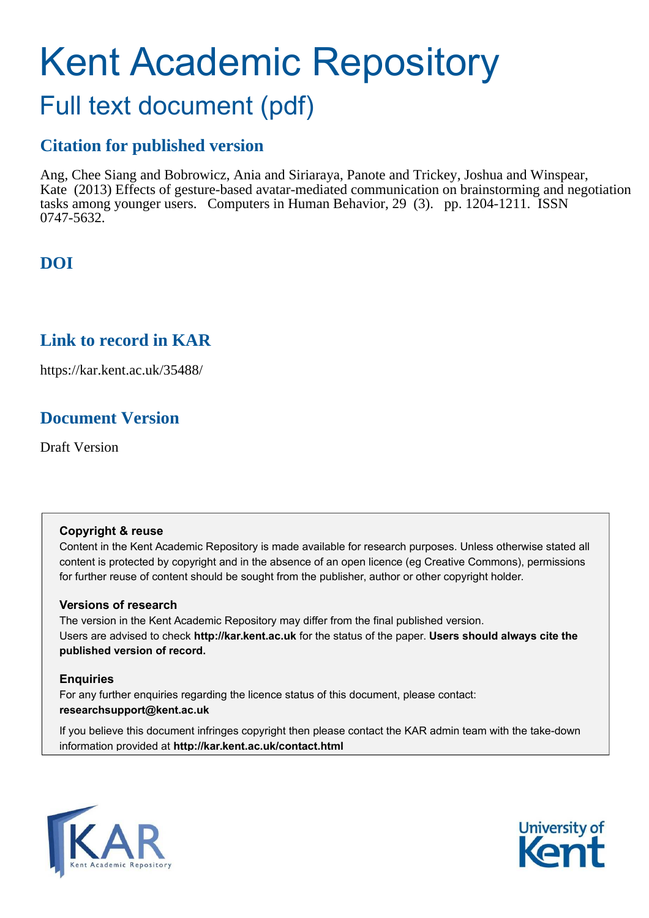# Kent Academic Repository Full text document (pdf)

## **Citation for published version**

Ang, Chee Siang and Bobrowicz, Ania and Siriaraya, Panote and Trickey, Joshua and Winspear, Kate (2013) Effects of gesture-based avatar-mediated communication on brainstorming and negotiation tasks among younger users. Computers in Human Behavior, 29 (3). pp. 1204-1211. ISSN 0747-5632.

## **DOI**

## **Link to record in KAR**

https://kar.kent.ac.uk/35488/

## **Document Version**

Draft Version

#### **Copyright & reuse**

Content in the Kent Academic Repository is made available for research purposes. Unless otherwise stated all content is protected by copyright and in the absence of an open licence (eg Creative Commons), permissions for further reuse of content should be sought from the publisher, author or other copyright holder.

#### **Versions of research**

The version in the Kent Academic Repository may differ from the final published version. Users are advised to check **http://kar.kent.ac.uk** for the status of the paper. **Users should always cite the published version of record.**

#### **Enquiries**

For any further enquiries regarding the licence status of this document, please contact: **researchsupport@kent.ac.uk**

If you believe this document infringes copyright then please contact the KAR admin team with the take-down information provided at **http://kar.kent.ac.uk/contact.html**



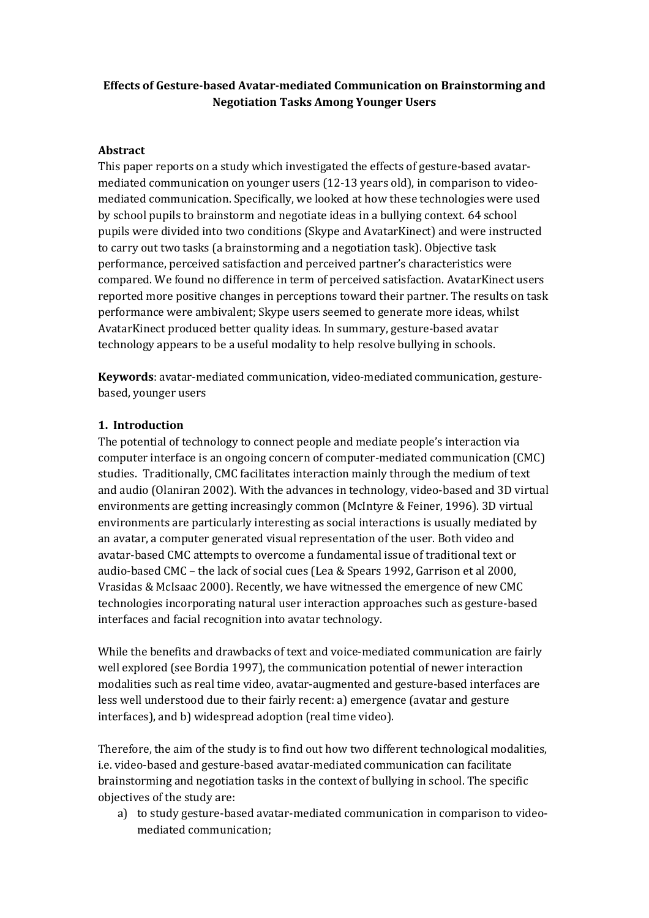#### **Effects of Gesture-based Avatar-mediated Communication on Brainstorming and Negotiation Tasks Among Younger Users**

#### **Abstract**

This paper reports on a study which investigated the effects of gesture-based avatarmediated communication on younger users (12-13 years old), in comparison to videomediated communication. Specifically, we looked at how these technologies were used by school pupils to brainstorm and negotiate ideas in a bullying context. 64 school pupils were divided into two conditions (Skype and AvatarKinect) and were instructed to carry out two tasks (a brainstorming and a negotiation task). Objective task performance, perceived satisfaction and perceived partner's characteristics were compared. We found no difference in term of perceived satisfaction. AvatarKinect users reported more positive changes in perceptions toward their partner. The results on task performance were ambivalent; Skype users seemed to generate more ideas, whilst AvatarKinect produced better quality ideas. In summary, gesture-based avatar technology appears to be a useful modality to help resolve bullying in schools.

**Keywords**: avatar-mediated communication, video-mediated communication, gesturebased, younger users

#### **1. Introduction**

The potential of technology to connect people and mediate people's interaction via computer interface is an ongoing concern of computer-mediated communication (CMC) studies. Traditionally, CMC facilitates interaction mainly through the medium of text and audio (Olaniran 2002). With the advances in technology, video-based and 3D virtual environments are getting increasingly common (McIntyre & Feiner, 1996). 3D virtual environments are particularly interesting as social interactions is usually mediated by an avatar, a computer generated visual representation of the user. Both video and avatar-based CMC attempts to overcome a fundamental issue of traditional text or audio-based CMC - the lack of social cues (Lea & Spears 1992, Garrison et al 2000, Vrasidas & McIsaac 2000). Recently, we have witnessed the emergence of new CMC technologies incorporating natural user interaction approaches such as gesture-based interfaces and facial recognition into avatar technology.

While the benefits and drawbacks of text and voice-mediated communication are fairly well explored (see Bordia 1997), the communication potential of newer interaction modalities such as real time video, avatar-augmented and gesture-based interfaces are less well understood due to their fairly recent: a) emergence (avatar and gesture interfaces), and b) widespread adoption (real time video).

Therefore, the aim of the study is to find out how two different technological modalities, i.e. video-based and gesture-based avatar-mediated communication can facilitate brainstorming and negotiation tasks in the context of bullying in school. The specific objectives of the study are:

a) to study gesture-based avatar-mediated communication in comparison to videomediated communication;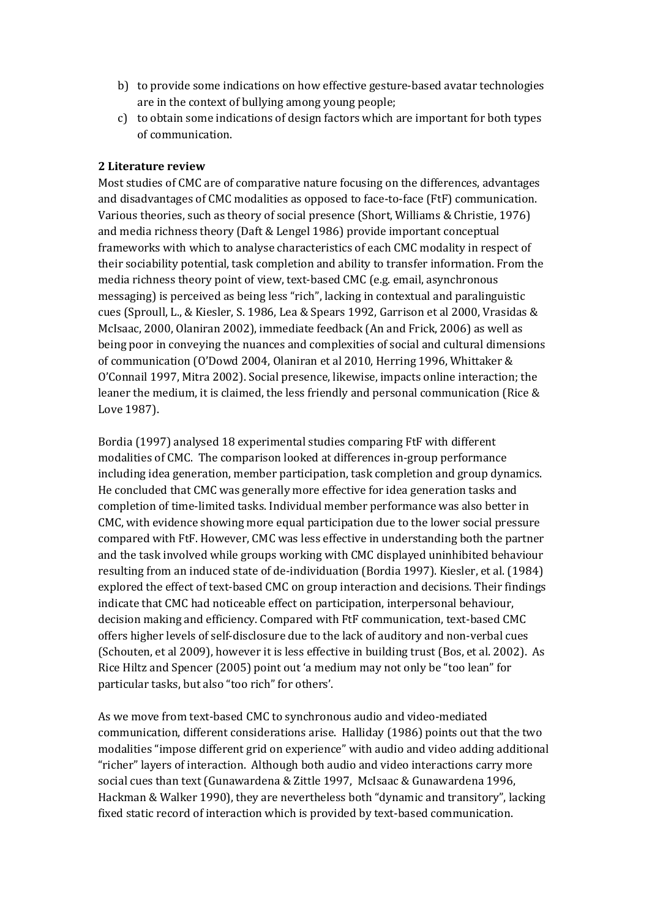- b) to provide some indications on how effective gesture-based avatar technologies are in the context of bullying among young people;
- c) to obtain some indications of design factors which are important for both types of communication.

#### **2 Literature review**

Most studies of CMC are of comparative nature focusing on the differences, advantages and disadvantages of CMC modalities as opposed to face-to-face (FtF) communication. Various theories, such as theory of social presence (Short, Williams & Christie, 1976) and media richness theory (Daft & Lengel 1986) provide important conceptual frameworks with which to analyse characteristics of each CMC modality in respect of their sociability potential, task completion and ability to transfer information. From the media richness theory point of view, text-based CMC (e.g. email, asynchronous messaging) is perceived as being less "rich", lacking in contextual and paralinguistic cues (Sproull, L., & Kiesler, S. 1986, Lea & Spears 1992, Garrison et al 2000, Vrasidas & McIsaac, 2000, Olaniran 2002), immediate feedback (An and Frick, 2006) as well as being poor in conveying the nuances and complexities of social and cultural dimensions of communication (OíDowd 2004, Olaniran et al 2010, Herring 1996, Whittaker & OíConnail 1997, Mitra 2002). Social presence, likewise, impacts online interaction; the leaner the medium, it is claimed, the less friendly and personal communication (Rice & Love 1987).

Bordia (1997) analysed 18 experimental studies comparing FtF with different modalities of CMC. The comparison looked at differences in-group performance including idea generation, member participation, task completion and group dynamics. He concluded that CMC was generally more effective for idea generation tasks and completion of time-limited tasks. Individual member performance was also better in CMC, with evidence showing more equal participation due to the lower social pressure compared with FtF. However, CMC was less effective in understanding both the partner and the task involved while groups working with CMC displayed uninhibited behaviour resulting from an induced state of de-individuation (Bordia 1997). Kiesler, et al. (1984) explored the effect of text-based CMC on group interaction and decisions. Their findings indicate that CMC had noticeable effect on participation, interpersonal behaviour, decision making and efficiency. Compared with FtF communication, text-based CMC offers higher levels of self-disclosure due to the lack of auditory and non-verbal cues (Schouten, et al 2009), however it is less effective in building trust (Bos, et al. 2002). As Rice Hiltz and Spencer (2005) point out 'a medium may not only be "too lean" for particular tasks, but also "too rich" for others'.

As we move from text-based CMC to synchronous audio and video-mediated communication, different considerations arise. Halliday (1986) points out that the two modalities "impose different grid on experience" with audio and video adding additional ìricherî layers of interaction. Although both audio and video interactions carry more social cues than text (Gunawardena & Zittle 1997, McIsaac & Gunawardena 1996, Hackman & Walker 1990), they are nevertheless both "dynamic and transitory", lacking fixed static record of interaction which is provided by text-based communication.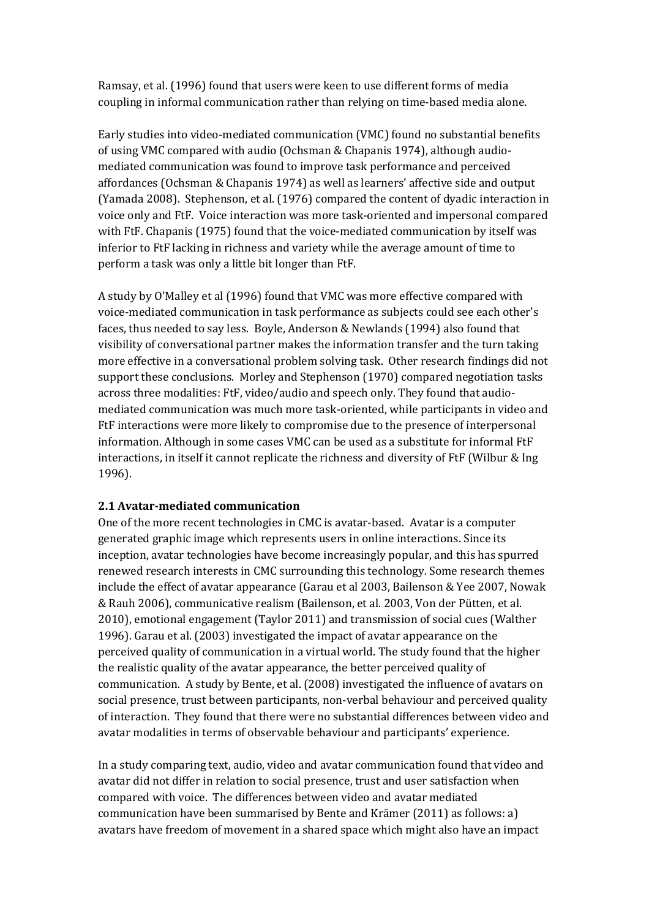Ramsay, et al. (1996) found that users were keen to use different forms of media coupling in informal communication rather than relying on time-based media alone.

Early studies into video-mediated communication (VMC) found no substantial benefits of using VMC compared with audio (Ochsman & Chapanis 1974), although audiomediated communication was found to improve task performance and perceived affordances (Ochsman & Chapanis 1974) as well as learnersí affective side and output (Yamada 2008). Stephenson, et al. (1976) compared the content of dyadic interaction in voice only and FtF. Voice interaction was more task-oriented and impersonal compared with FtF. Chapanis (1975) found that the voice-mediated communication by itself was inferior to FtF lacking in richness and variety while the average amount of time to perform a task was only a little bit longer than FtF.

A study by OíMalley et al (1996) found that VMC was more effective compared with voice-mediated communication in task performance as subjects could see each otherís faces, thus needed to say less. Boyle, Anderson & Newlands (1994) also found that visibility of conversational partner makes the information transfer and the turn taking more effective in a conversational problem solving task. Other research findings did not support these conclusions. Morley and Stephenson (1970) compared negotiation tasks across three modalities: FtF, video/audio and speech only. They found that audiomediated communication was much more task-oriented, while participants in video and FtF interactions were more likely to compromise due to the presence of interpersonal information. Although in some cases VMC can be used as a substitute for informal FtF interactions, in itself it cannot replicate the richness and diversity of FtF (Wilbur & Ing 1996).

#### **2.1 Avatar-mediated communication**

One of the more recent technologies in CMC is avatar-based. Avatar is a computer generated graphic image which represents users in online interactions. Since its inception, avatar technologies have become increasingly popular, and this has spurred renewed research interests in CMC surrounding this technology. Some research themes include the effect of avatar appearance (Garau et al 2003, Bailenson & Yee 2007, Nowak & Rauh 2006), communicative realism (Bailenson, et al. 2003, Von der Pütten, et al. 2010), emotional engagement (Taylor 2011) and transmission of social cues (Walther 1996). [Garau et al. \(2003\)](http://www.sciencedirect.com/science/article/pii/S0747563211002810%23b0090) investigated the impact of avatar appearance on the perceived quality of communication in a virtual world. The study found that the higher the realistic quality of the avatar appearance, the better perceived quality of communication. A study by Bente, et al. (2008) investigated the influence of avatars on social presence, trust between participants, non-verbal behaviour and perceived quality of interaction. They found that there were no substantial differences between video and avatar modalities in terms of observable behaviour and participants' experience.

<span id="page-3-0"></span>In a study comparing text, audio, video and avatar communication found that video and avatar did not differ in relation to social presence, trust and user satisfaction when compared with voice. The differences between video and avatar mediated communication have been summarised by Bente and Krämer  $(2011)$  as follows: a) avatars have freedom of movement in a shared space which might also have an impact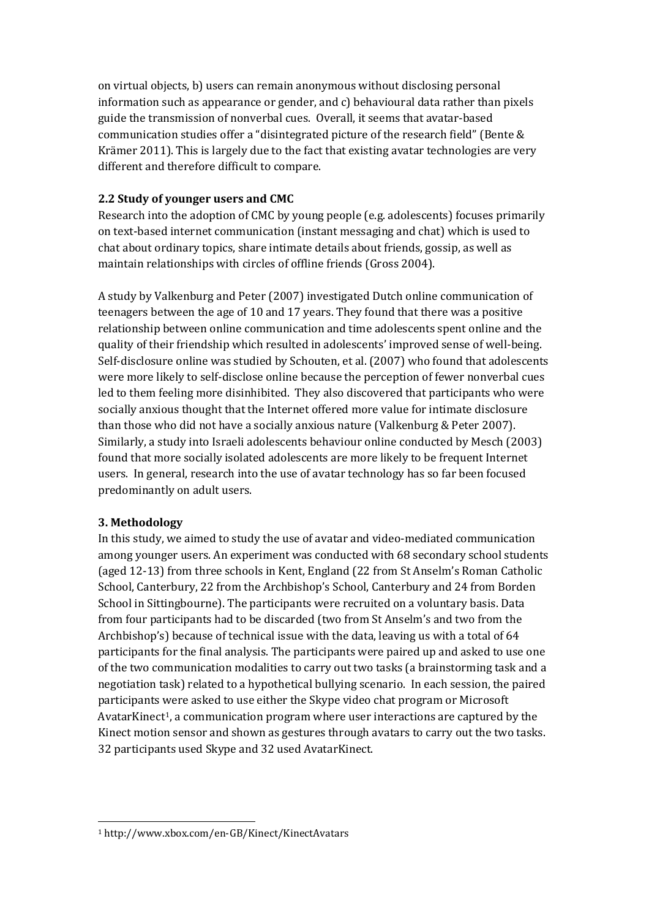on virtual objects, b) users can remain anonymous without disclosing personal information such as appearance or gender, and c) behavioural data rather than pixels guide the transmission of nonverbal cues. Overall, it seems that avatar-based communication studies offer a "disintegrated picture of the research field" (Bente  $&$ Krämer 2011). This is largely due to the fact that existing avatar technologies are very different and therefore difficult to compare.

#### **2.2 Study of younger users and CMC**

Research into the adoption of CMC by young people (e.g. adolescents) focuses primarily on text-based internet communication (instant messaging and chat) which is used to chat about ordinary topics, share intimate details about friends, gossip, as well as maintain relationships with circles of offline friends (Gross 2004).

A study by Valkenburg and Peter (2007) investigated Dutch online communication of teenagers between the age of 10 and 17 years. They found that there was a positive relationship between online communication and time adolescents spent online and the quality of their friendship which resulted in adolescents' improved sense of well-being. Self-disclosure online was studied by [Schouten,](http://www.tandfonline.com/action/doSearch?action=runSearch&type=advanced&result=true&prevSearch=%2Bauthorsfield%3A(Schouten%2C+Alexander+P.)) et al. (2007) who found that adolescents were more likely to self-disclose online because the perception of fewer nonverbal cues led to them feeling more disinhibited. They also discovered that participants who were socially anxious thought that the Internet offered more value for intimate disclosure than those who did not have a socially anxious nature (Valkenburg & Peter 2007). Similarly, a study into Israeli adolescents behaviour online conducted by Mesch (2003) found that more socially isolated adolescents are more likely to be frequent Internet users. In general, research into the use of avatar technology has so far been focused predominantly on adult users.

#### **3. Methodology**

l

In this study, we aimed to study the use of avatar and video-mediated communication among younger users. An experiment was conducted with 68 secondary school students (aged 12-13) from three schools in Kent, England (22 from St Anselmís Roman Catholic School, Canterbury, 22 from the Archbishop's School, Canterbury and 24 from Borden School in Sittingbourne). The participants were recruited on a voluntary basis. Data from four participants had to be discarded (two from St Anselm's and two from the Archbishop's) because of technical issue with the data, leaving us with a total of 64 participants for the final analysis. The participants were paired up and asked to use one of the two communication modalities to carry out two tasks (a brainstorming task and a negotiation task) related to a hypothetical bullying scenario. In each session, the paired participants [w](#page-3-0)ere asked to use either the Skype video chat program or Microsoft AvatarKinect<sup>1</sup>, a communication program where user interactions are captured by the Kinect motion sensor and shown as gestures through avatars to carry out the two tasks. 32 participants used Skype and 32 used AvatarKinect.

<sup>1</sup> http://www.xbox.com/en-GB/Kinect/KinectAvatars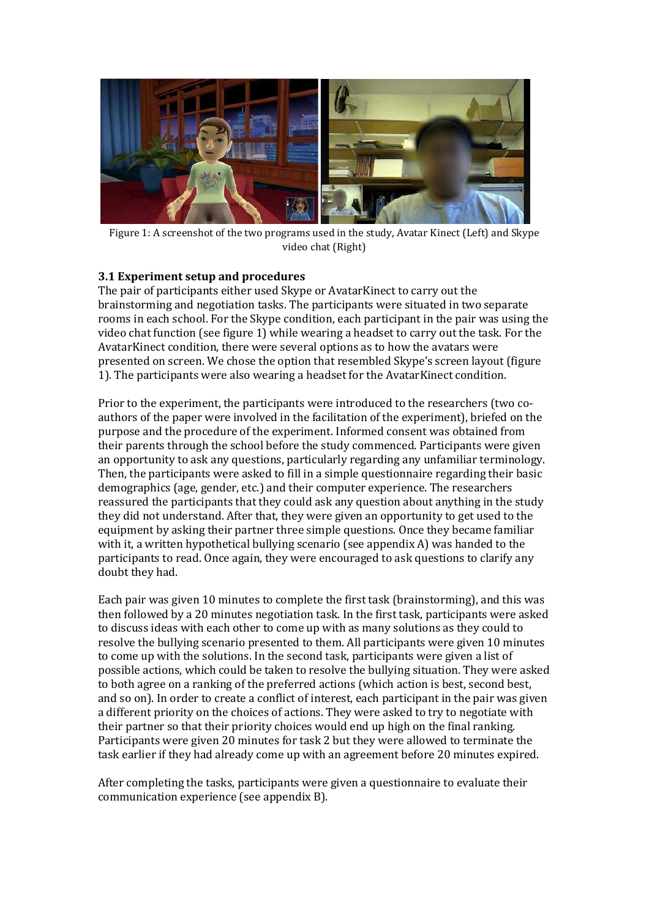

Figure 1: A screenshot of the two programs used in the study, Avatar Kinect (Left) and Skype video chat (Right)

#### **3.1 Experiment setup and procedures**

The pair of participants either used Skype or AvatarKinect to carry out the brainstorming and negotiation tasks. The participants were situated in two separate rooms in each school. For the Skype condition, each participant in the pair was using the video chat function (see figure 1) while wearing a headset to carry out the task. For the AvatarKinect condition, there were several options as to how the avatars were presented on screen. We chose the option that resembled Skype's screen layout (figure 1). The participants were also wearing a headset for the AvatarKinect condition.

Prior to the experiment, the participants were introduced to the researchers (two coauthors of the paper were involved in the facilitation of the experiment), briefed on the purpose and the procedure of the experiment. Informed consent was obtained from their parents through the school before the study commenced. Participants were given an opportunity to ask any questions, particularly regarding any unfamiliar terminology. Then, the participants were asked to fill in a simple questionnaire regarding their basic demographics (age, gender, etc.) and their computer experience. The researchers reassured the participants that they could ask any question about anything in the study they did not understand. After that, they were given an opportunity to get used to the equipment by asking their partner three simple questions. Once they became familiar with it, a written hypothetical bullying scenario (see appendix A) was handed to the participants to read. Once again, they were encouraged to ask questions to clarify any doubt they had.

Each pair was given 10 minutes to complete the first task (brainstorming), and this was then followed by a 20 minutes negotiation task. In the first task, participants were asked to discuss ideas with each other to come up with as many solutions as they could to resolve the bullying scenario presented to them. All participants were given 10 minutes to come up with the solutions. In the second task, participants were given a list of possible actions, which could be taken to resolve the bullying situation. They were asked to both agree on a ranking of the preferred actions (which action is best, second best, and so on). In order to create a conflict of interest, each participant in the pair was given a different priority on the choices of actions. They were asked to try to negotiate with their partner so that their priority choices would end up high on the final ranking. Participants were given 20 minutes for task 2 but they were allowed to terminate the task earlier if they had already come up with an agreement before 20 minutes expired.

After completing the tasks, participants were given a questionnaire to evaluate their communication experience (see appendix B).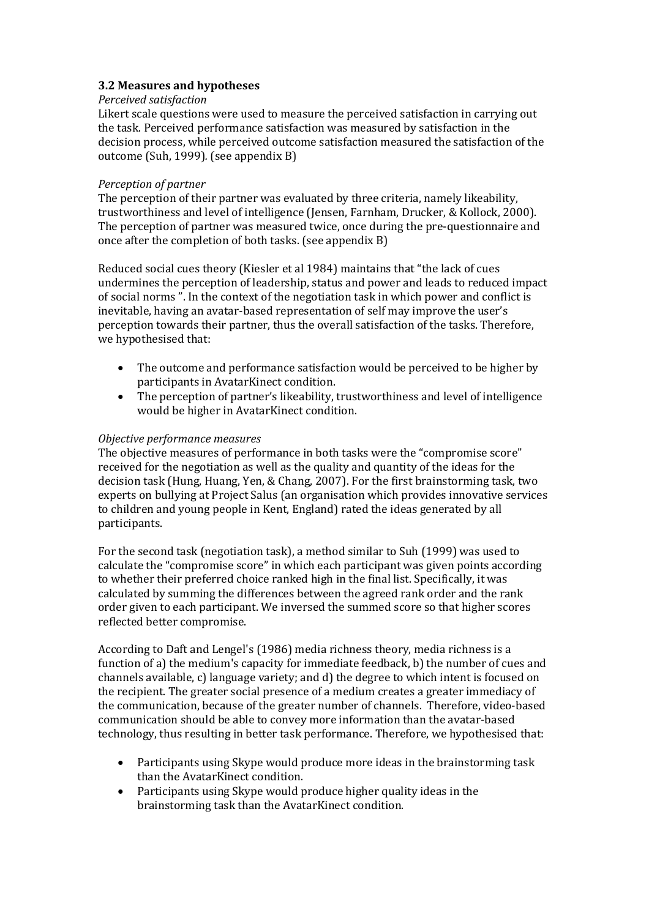#### **3.2 Measures and hypotheses**

#### *Perceived satisfaction*

Likert scale questions were used to measure the perceived satisfaction in carrying out the task. Perceived performance satisfaction was measured by satisfaction in the decision process, while perceived outcome satisfaction measured the satisfaction of the outcome (Suh, 1999)*.* (see appendix B)

#### *Perception of partner*

The perception of their partner was evaluated by three criteria, namely likeability, trustworthiness and level of intelligence (Jensen, Farnham, Drucker, & Kollock, 2000). The perception of partner was measured twice, once during the pre-questionnaire and once after the completion of both tasks. (see appendix B)

Reduced social cues theory (Kiesler et al 1984) maintains that "the lack of cues undermines the perception of leadership, status and power and leads to reduced impact of social norms î. In the context of the negotiation task in which power and conflict is inevitable, having an avatar-based representation of self may improve the user's perception towards their partner, thus the overall satisfaction of the tasks. Therefore, we hypothesised that:

- The outcome and performance satisfaction would be perceived to be higher by participants in AvatarKinect condition.
- The perception of partner's likeability, trustworthiness and level of intelligence would be higher in AvatarKinect condition.

#### *Objective performance measures*

The objective measures of performance in both tasks were the "compromise score" received for the negotiation as well as the quality and quantity of the ideas for the decision task (Hung, Huang, Yen, & Chang, 2007). For the first brainstorming task, two experts on bullying at Project Salus (an organisation which provides innovative services to children and young people in Kent, England) rated the ideas generated by all participants.

For the second task (negotiation task), a method similar to Suh (1999) was used to calculate the "compromise score" in which each participant was given points according to whether their preferred choice ranked high in the final list. Specifically, it was calculated by summing the differences between the agreed rank order and the rank order given to each participant. We inversed the summed score so that higher scores reflected better compromise.

According to Daft and Lengel's (1986) media richness theory, media richness is a function of a) the medium's capacity for immediate feedback, b) the number of cues and channels available, c) language variety; and d) the degree to which intent is focused on the recipient. The greater social presence of a medium creates a greater immediacy of the communication, because of the greater number of channels. Therefore, video-based communication should be able to convey more information than the avatar-based technology, thus resulting in better task performance. Therefore, we hypothesised that:

- Participants using Skype would produce more ideas in the brainstorming task than the AvatarKinect condition.
- Participants using Skype would produce higher quality ideas in the brainstorming task than the AvatarKinect condition.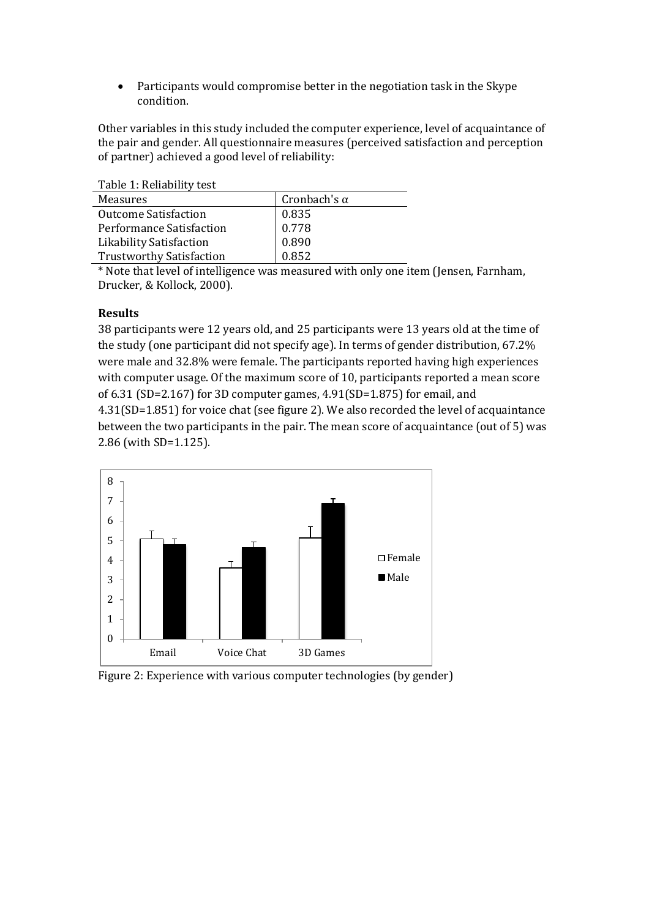• Participants would compromise better in the negotiation task in the Skype condition.

Other variables in this study included the computer experience, level of acquaintance of the pair and gender. All questionnaire measures (perceived satisfaction and perception of partner) achieved a good level of reliability:

| Table 1: Reliability test       |                     |  |  |  |  |  |  |
|---------------------------------|---------------------|--|--|--|--|--|--|
| Measures                        | Cronbach's $\alpha$ |  |  |  |  |  |  |
| <b>Outcome Satisfaction</b>     | 0.835               |  |  |  |  |  |  |
| <b>Performance Satisfaction</b> | 0.778               |  |  |  |  |  |  |
| <b>Likability Satisfaction</b>  | 0.890               |  |  |  |  |  |  |
| <b>Trustworthy Satisfaction</b> | 0.852               |  |  |  |  |  |  |

\* Note that level of intelligence was measured with only one item (Jensen, Farnham, Drucker, & Kollock, 2000).

#### **Results**

38 participants were 12 years old, and 25 participants were 13 years old at the time of the study (one participant did not specify age). In terms of gender distribution, 67.2% were male and 32.8% were female. The participants reported having high experiences with computer usage. Of the maximum score of 10, participants reported a mean score of 6.31 (SD=2.167) for 3D computer games, 4.91(SD=1.875) for email, and 4.31(SD=1.851) for voice chat (see figure 2). We also recorded the level of acquaintance between the two participants in the pair. The mean score of acquaintance (out of 5) was 2.86 (with SD=1.125).



Figure 2: Experience with various computer technologies (by gender)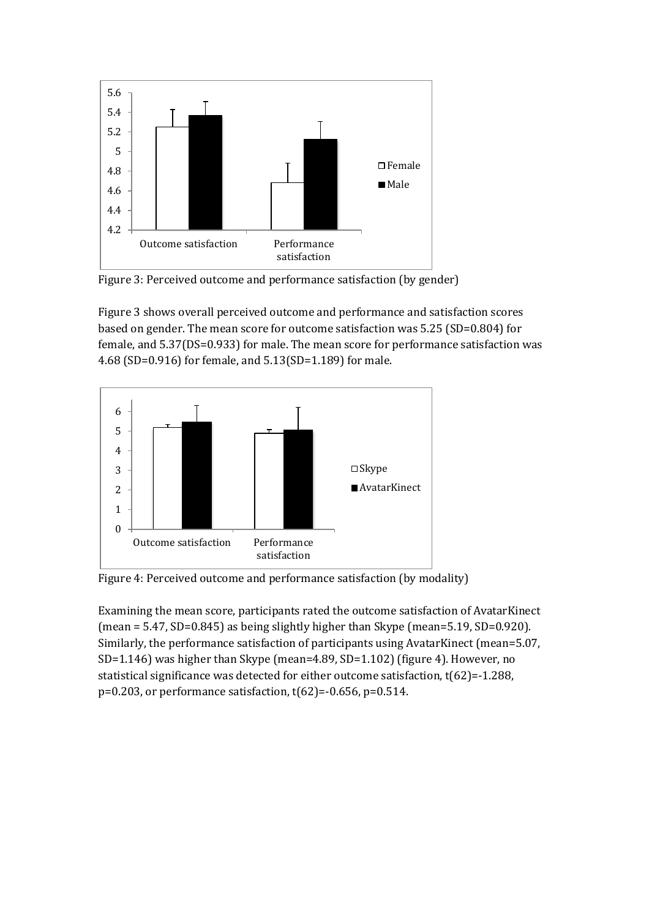

Figure 3: Perceived outcome and performance satisfaction (by gender)

Figure 3 shows overall perceived outcome and performance and satisfaction scores based on gender. The mean score for outcome satisfaction was 5.25 (SD=0.804) for female, and 5.37(DS=0.933) for male. The mean score for performance satisfaction was 4.68 (SD=0.916) for female, and 5.13(SD=1.189) for male.



Figure 4: Perceived outcome and performance satisfaction (by modality)

Examining the mean score, participants rated the outcome satisfaction of AvatarKinect (mean =  $5.47$ , SD= $0.845$ ) as being slightly higher than Skype (mean= $5.19$ , SD= $0.920$ ). Similarly, the performance satisfaction of participants using AvatarKinect (mean=5.07, SD=1.146) was higher than Skype (mean=4.89, SD=1.102) (figure 4). However, no statistical significance was detected for either outcome satisfaction, t(62)=-1.288,  $p=0.203$ , or performance satisfaction, t(62)=-0.656, p=0.514.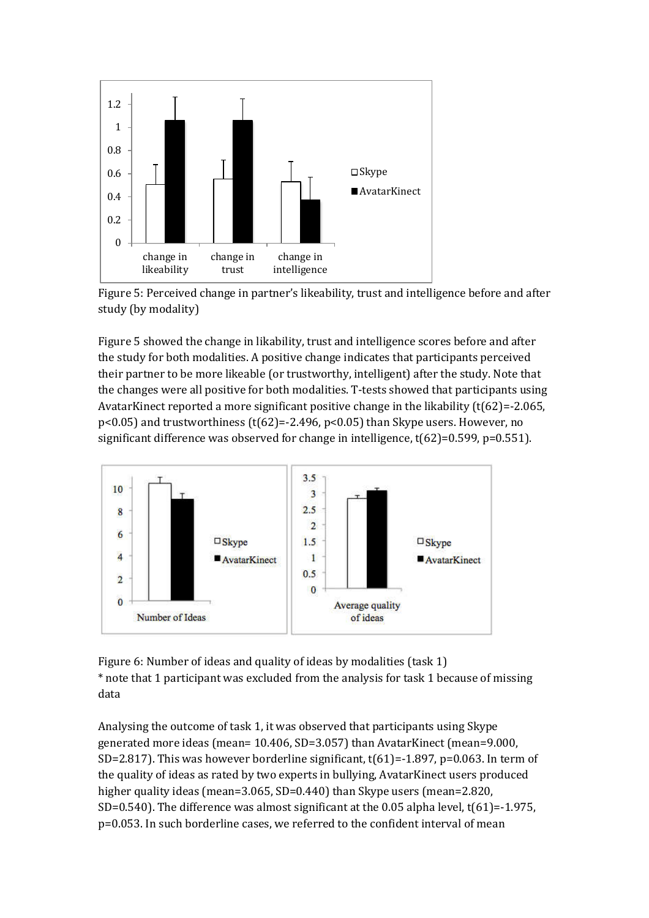



Figure 5 showed the change in likability, trust and intelligence scores before and after the study for both modalities. A positive change indicates that participants perceived their partner to be more likeable (or trustworthy, intelligent) after the study. Note that the changes were all positive for both modalities. T-tests showed that participants using AvatarKinect reported a more significant positive change in the likability ( $t(62)$ =-2.065, p<0.05) and trustworthiness (t(62)=-2.496, p<0.05) than Skype users. However, no significant difference was observed for change in intelligence,  $t(62)=0.599$ , p=0.551).



Figure 6: Number of ideas and quality of ideas by modalities (task 1) \* note that 1 participant was excluded from the analysis for task 1 because of missing data

Analysing the outcome of task 1, it was observed that participants using Skype generated more ideas (mean= 10.406, SD=3.057) than AvatarKinect (mean=9.000, SD=2.817). This was however borderline significant, t(61)=-1.897, p=0.063. In term of the quality of ideas as rated by two experts in bullying, AvatarKinect users produced higher quality ideas (mean=3.065, SD=0.440) than Skype users (mean=2.820, SD=0.540). The difference was almost significant at the 0.05 alpha level,  $t(61)=$ -1.975, p=0.053. In such borderline cases, we referred to the confident interval of mean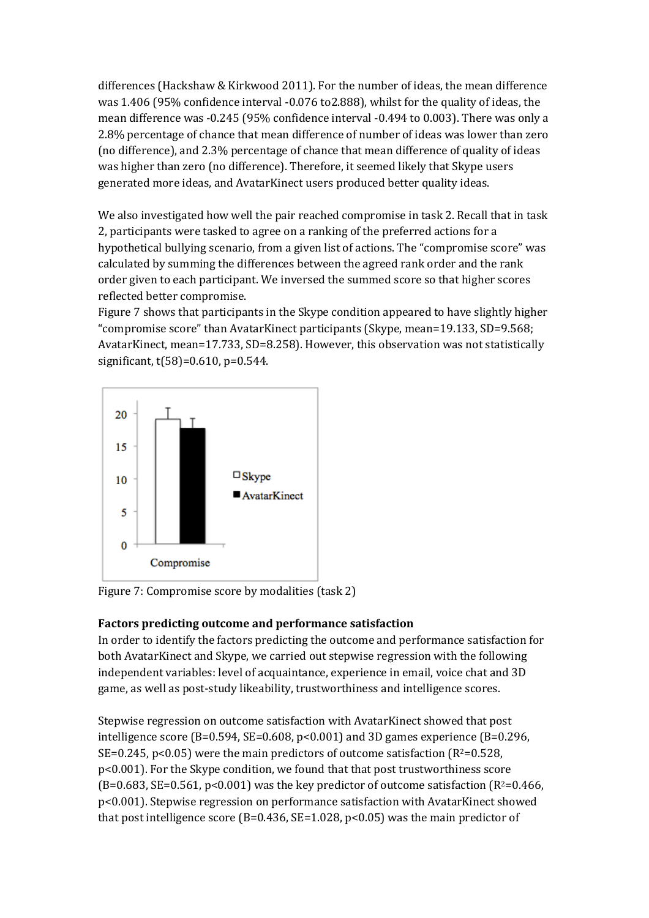differences (Hackshaw & Kirkwood 2011). For the number of ideas, the mean difference was 1.406 (95% confidence interval -0.076 to2.888), whilst for the quality of ideas, the mean difference was -0.245 (95% confidence interval -0.494 to 0.003). There was only a 2.8% percentage of chance that mean difference of number of ideas was lower than zero (no difference), and 2.3% percentage of chance that mean difference of quality of ideas was higher than zero (no difference). Therefore, it seemed likely that Skype users generated more ideas, and AvatarKinect users produced better quality ideas.

We also investigated how well the pair reached compromise in task 2. Recall that in task 2, participants were tasked to agree on a ranking of the preferred actions for a hypothetical bullying scenario, from a given list of actions. The "compromise score" was calculated by summing the differences between the agreed rank order and the rank order given to each participant. We inversed the summed score so that higher scores reflected better compromise.

Figure 7 shows that participants in the Skype condition appeared to have slightly higher "compromise score" than AvatarKinect participants (Skype, mean=19.133, SD=9.568; AvatarKinect, mean=17.733, SD=8.258). However, this observation was not statistically significant, t(58)=0.610, p=0.544.



Figure 7: Compromise score by modalities (task 2)

#### **Factors predicting outcome and performance satisfaction**

In order to identify the factors predicting the outcome and performance satisfaction for both AvatarKinect and Skype, we carried out stepwise regression with the following independent variables: level of acquaintance, experience in email, voice chat and 3D game, as well as post-study likeability, trustworthiness and intelligence scores.

Stepwise regression on outcome satisfaction with AvatarKinect showed that post intelligence score (B=0.594, SE=0.608,  $p<0.001$ ) and 3D games experience (B=0.296, SE=0.245, p<0.05) were the main predictors of outcome satisfaction ( $R^2$ =0.528, p<0.001). For the Skype condition, we found that that post trustworthiness score  $(B=0.683, SE=0.561, p<0.001)$  was the key predictor of outcome satisfaction (R<sup>2</sup>=0.466, p<0.001). Stepwise regression on performance satisfaction with AvatarKinect showed that post intelligence score ( $B=0.436$ ,  $SE=1.028$ ,  $p<0.05$ ) was the main predictor of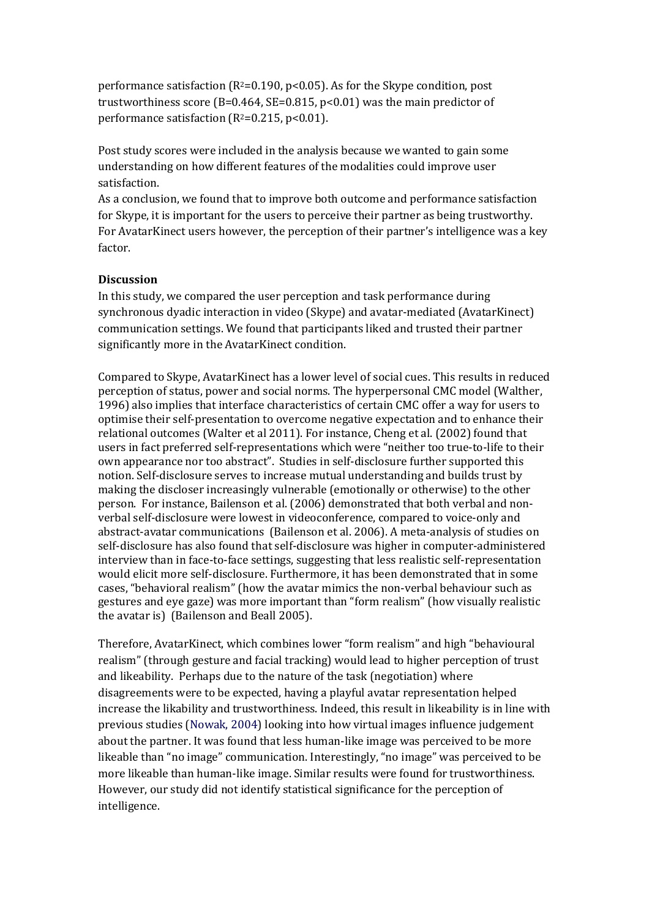performance satisfaction ( $R^2$ =0.190, p<0.05). As for the Skype condition, post trustworthiness score (B=0.464, SE=0.815, p<0.01) was the main predictor of performance satisfaction ( $R^2$ =0.215, p<0.01).

Post study scores were included in the analysis because we wanted to gain some understanding on how different features of the modalities could improve user satisfaction.

As a conclusion, we found that to improve both outcome and performance satisfaction for Skype, it is important for the users to perceive their partner as being trustworthy. For AvatarKinect users however, the perception of their partner's intelligence was a key factor.

#### **Discussion**

In this study, we compared the user perception and task performance during synchronous dyadic interaction in video (Skype) and avatar-mediated (AvatarKinect) communication settings. We found that participants liked and trusted their partner significantly more in the AvatarKinect condition.

Compared to Skype, AvatarKinect has a lower level of social cues. This results in reduced perception of status, power and social norms. The hyperpersonal CMC model (Walther, 1996) also implies that interface characteristics of certain CMC offer a way for users to optimise their self-presentation to overcome negative expectation and to enhance their relational outcomes (Walter et al 2011). For instance, Cheng et al. (2002) found that users in fact preferred self-representations which were "neither too true-to-life to their own appearance nor too abstract". Studies in self-disclosure further supported this notion. Self-disclosure serves to increase mutual understanding and builds trust by making the discloser increasingly vulnerable (emotionally or otherwise) to the other person. For instance, Bailenson et al. (2006) demonstrated that both verbal and nonverbal self-disclosure were lowest in videoconference, compared to voice-only and abstract-avatar communications (Bailenson et al. 2006). A meta-analysis of studies on self-disclosure has also found that self-disclosure was higher in computer-administered interview than in face-to-face settings, suggesting that less realistic self-representation would elicit more self-disclosure. Furthermore, it has been demonstrated that in some cases, "behavioral realism" (how the avatar mimics the non-verbal behaviour such as gestures and eye gaze) was more important than "form realism" (how visually realistic the avatar is) (Bailenson and Beall 2005).

Therefore, AvatarKinect, which combines lower "form realism" and high "behavioural realism" (through gesture and facial tracking) would lead to higher perception of trust and likeability. Perhaps due to the nature of the task (negotiation) where disagreements were to be expected, having a playful avatar representation helped increase the likability and trustworthiness. Indeed, this result in likeability is in line with previous studies (Nowak, 2004) looking into how virtual images influence judgement about the partner. It was found that less human-like image was perceived to be more likeable than "no image" communication. Interestingly, "no image" was perceived to be more likeable than human-like image. Similar results were found for trustworthiness. However, our study did not identify statistical significance for the perception of intelligence.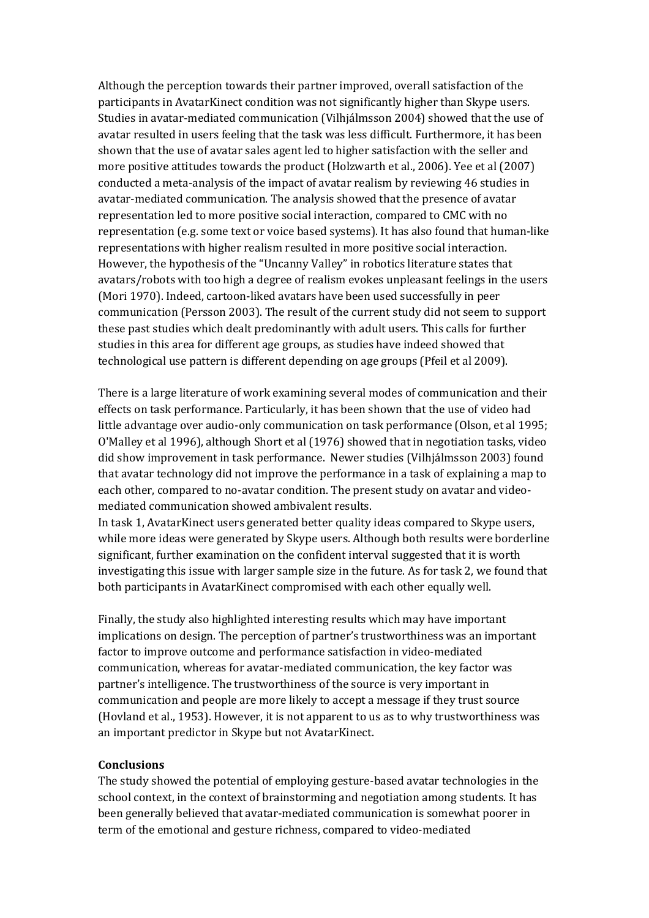Although the perception towards their partner improved, overall satisfaction of the participants in AvatarKinect condition was not significantly higher than Skype users. Studies in avatar-mediated communication (Vilhjálmsson 2004) showed that the use of avatar resulted in users feeling that the task was less difficult. Furthermore, it has been shown that the use of avatar sales agent led to higher satisfaction with the seller and more positive attitudes towards the product (Holzwarth et al., 2006). Yee et al (2007) conducted a meta-analysis of the impact of avatar realism by reviewing 46 studies in avatar-mediated communication. The analysis showed that the presence of avatar representation led to more positive social interaction, compared to CMC with no representation (e.g. some text or voice based systems). It has also found that human-like representations with higher realism resulted in more positive social interaction. However, the hypothesis of the "Uncanny Valley" in robotics literature states that avatars/robots with too high a degree of realism evokes unpleasant feelings in the users (Mori 1970). Indeed, cartoon-liked avatars have been used successfully in peer communication (Persson 2003). The result of the current study did not seem to support these past studies which dealt predominantly with adult users. This calls for further studies in this area for different age groups, as studies have indeed showed that technological use pattern is different depending on age groups (Pfeil et al 2009).

There is a large literature of work examining several modes of communication and their effects on task performance. Particularly, it has been shown that the use of video had little advantage over audio-only communication on task performance (Olson, et al 1995; O'Malley et al 1996), although Short et al (1976) showed that in negotiation tasks, video did show improvement in task performance. Newer studies (Vilhjálmsson 2003) found that avatar technology did not improve the performance in a task of explaining a map to each other, compared to no-avatar condition. The present study on avatar and videomediated communication showed ambivalent results.

In task 1, AvatarKinect users generated better quality ideas compared to Skype users, while more ideas were generated by Skype users. Although both results were borderline significant, further examination on the confident interval suggested that it is worth investigating this issue with larger sample size in the future. As for task 2, we found that both participants in AvatarKinect compromised with each other equally well.

Finally, the study also highlighted interesting results which may have important implications on design. The perception of partner's trustworthiness was an important factor to improve outcome and performance satisfaction in video-mediated communication, whereas for avatar-mediated communication, the key factor was partner's intelligence. The trustworthiness of the source is very important in communication and people are more likely to accept a message if they trust source (Hovland et al., 1953). However, it is not apparent to us as to why trustworthiness was an important predictor in Skype but not AvatarKinect.

#### **Conclusions**

The study showed the potential of employing gesture-based avatar technologies in the school context, in the context of brainstorming and negotiation among students. It has been generally believed that avatar-mediated communication is somewhat poorer in term of the emotional and gesture richness, compared to video-mediated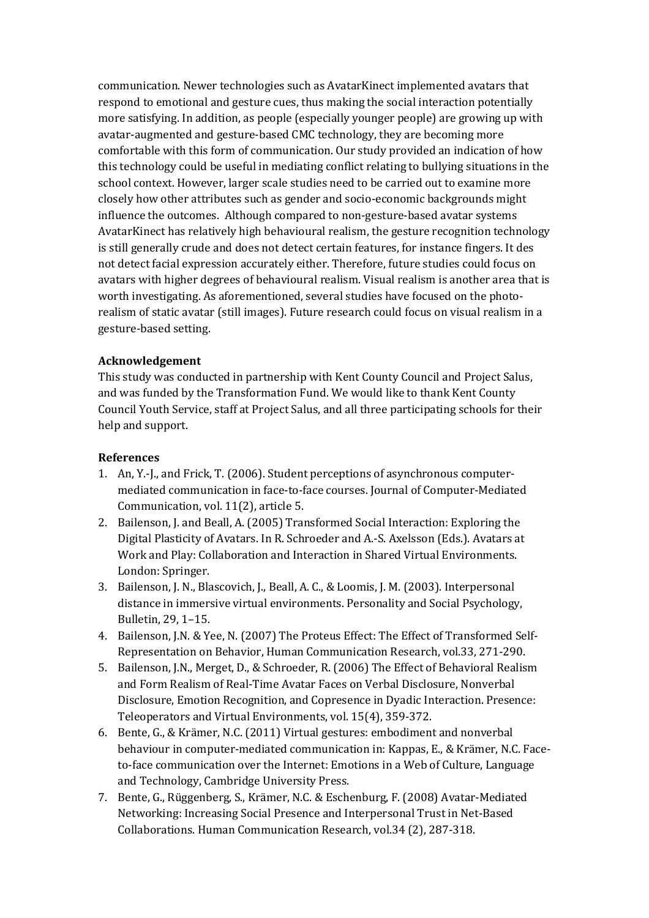communication. Newer technologies such as AvatarKinect implemented avatars that respond to emotional and gesture cues, thus making the social interaction potentially more satisfying. In addition, as people (especially younger people) are growing up with avatar-augmented and gesture-based CMC technology, they are becoming more comfortable with this form of communication. Our study provided an indication of how this technology could be useful in mediating conflict relating to bullying situations in the school context. However, larger scale studies need to be carried out to examine more closely how other attributes such as gender and socio-economic backgrounds might influence the outcomes. Although compared to non-gesture-based avatar systems AvatarKinect has relatively high behavioural realism, the gesture recognition technology is still generally crude and does not detect certain features, for instance fingers. It des not detect facial expression accurately either. Therefore, future studies could focus on avatars with higher degrees of behavioural realism. Visual realism is another area that is worth investigating. As aforementioned, several studies have focused on the photorealism of static avatar (still images). Future research could focus on visual realism in a gesture-based setting.

#### **Acknowledgement**

This study was conducted in partnership with Kent County Council and Project Salus, and was funded by the Transformation Fund. We would like to thank Kent County Council Youth Service, staff at Project Salus, and all three participating schools for their help and support.

#### **References**

- 1. An, Y.-J., and Frick, T. (2006). Student perceptions of asynchronous computermediated communication in face-to-face courses. Journal of Computer-Mediated Communication, vol. 11(2), article 5.
- 2. Bailenson, J. and Beall, A. (2005) Transformed Social Interaction: Exploring the Digital Plasticity of Avatars. In R. Schroeder and A.-S. Axelsson (Eds.). Avatars at Work and Play: Collaboration and Interaction in Shared Virtual Environments. London: Springer.
- 3. Bailenson, J. N., Blascovich, J., Beall, A. C., & Loomis, J. M. (2003). Interpersonal distance in immersive virtual environments. Personality and Social Psychology, Bulletin, 29, 1-15.
- 4. Bailenson, J.N. & Yee, N. (2007) The Proteus Effect: The Effect of Transformed Self-Representation on Behavior, Human Communication Research, vol.33, 271-290.
- 5. Bailenson, J.N., Merget, D., & Schroeder, R. (2006) The Effect of Behavioral Realism and Form Realism of Real-Time Avatar Faces on Verbal Disclosure, Nonverbal Disclosure, Emotion Recognition, and Copresence in Dyadic Interaction. Presence: Teleoperators and Virtual Environments, vol. 15(4), 359-372.
- 6. Bente, G., & Krämer, N.C. (2011) Virtual gestures: embodiment and nonverbal behaviour in computer-mediated communication in: Kappas, E., & Krämer, N.C. Faceto-face communication over the Internet: Emotions in a Web of Culture, Language and Technology, Cambridge University Press.
- 7. Bente, G., Rüggenberg, S., Krämer, N.C. & Eschenburg, F. (2008) Avatar-Mediated Networking: Increasing Social Presence and Interpersonal Trust in Net-Based Collaborations. Human Communication Research, vol.34 (2), 287-318.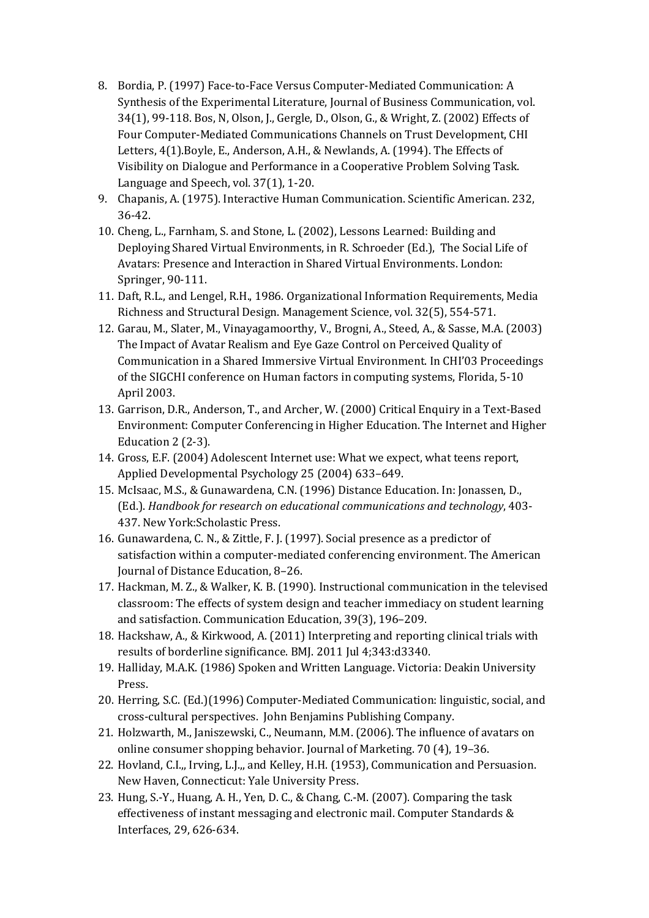- 8. Bordia, P. (1997) Face-to-Face Versus Computer-Mediated Communication: A Synthesis of the Experimental Literature, Journal of Business Communication, vol. 34(1), 99-118. Bos, N, Olson, J., Gergle, D., Olson, G., & Wright, Z. (2002) Effects of Four Computer-Mediated Communications Channels on Trust Development, CHI Letters, 4(1).Boyle, E., Anderson, A.H., & Newlands, A. (1994). The Effects of Visibility on Dialogue and Performance in a Cooperative Problem Solving Task. Language and Speech, vol. 37(1), 1-20.
- 9. Chapanis, A. (1975). Interactive Human Communication. Scientific American. 232, 36-42.
- 10. Cheng, L., Farnham, S. and Stone, L. (2002), Lessons Learned: Building and Deploying Shared Virtual Environments, in R. Schroeder (Ed.), The Social Life of Avatars: Presence and Interaction in Shared Virtual Environments. London: Springer, 90-111.
- 11. Daft, R.L., and Lengel, R.H., 1986. Organizational Information Requirements, Media Richness and Structural Design. Management Science, vol. 32(5), 554-571.
- 12. Garau, M., Slater, M., Vinayagamoorthy, V., Brogni, A., Steed, A., & Sasse, M.A. (2003) The Impact of Avatar Realism and Eye Gaze Control on Perceived Quality of Communication in a Shared Immersive Virtual Environment. In CHI'03 Proceedings of the SIGCHI conference on Human factors in computing systems, Florida, 5-10 April 2003.
- 13. Garrison, D.R., Anderson, T., and Archer, W. (2000) Critical Enquiry in a Text-Based Environment: Computer Conferencing in Higher Education. The Internet and Higher Education 2 (2-3).
- 14. Gross, E.F. (2004) Adolescent Internet use: What we expect, what teens report, Applied Developmental Psychology 25 (2004) 633-649.
- 15. McIsaac, M.S., & Gunawardena, C.N. (1996) Distance Education. In: Jonassen, D., (Ed.). *Handbook for research on educational communications and technology*, 403- 437. New York:Scholastic Press.
- 16. Gunawardena, C. N., & Zittle, F. J. (1997). Social presence as a predictor of satisfaction within a computer-mediated conferencing environment. The American Journal of Distance Education, 8-26.
- 17. Hackman, M. Z., & Walker, K. B. (1990). Instructional communication in the televised classroom: The effects of system design and teacher immediacy on student learning and satisfaction. Communication Education, 39(3), 196-209.
- 18. Hackshaw, A., & Kirkwood, A. (2011) Interpreting and reporting clinical trials with results of borderline significance. BMJ. 2011 Jul 4;343:d3340.
- 19. Halliday, M.A.K. (1986) Spoken and Written Language. Victoria: Deakin University Press.
- 20. Herring, S.C. (Ed.)(1996) Computer-Mediated Communication: linguistic, social, and cross-cultural perspectives. John Benjamins Publishing Company.
- 21. Holzwarth, M., Janiszewski, C., Neumann, M.M. (2006). The influence of avatars on online consumer shopping behavior. Journal of Marketing. 70 (4), 19–36.
- 22. Hovland, C.I.,, Irving, L.J.,, and Kelley, H.H. (1953), Communication and Persuasion. New Haven, Connecticut: Yale University Press.
- 23. Hung, S.-Y., Huang, A. H., Yen, D. C., & Chang, C.-M. (2007). Comparing the task effectiveness of instant messaging and electronic mail. Computer Standards & Interfaces, 29, 626-634.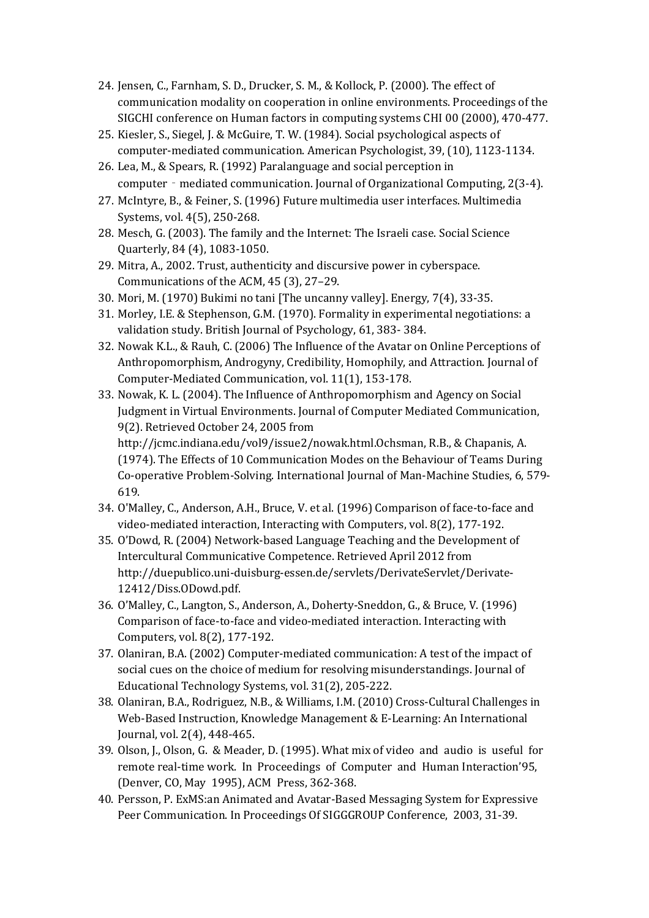- 24. Jensen, C., Farnham, S. D., Drucker, S. M., & Kollock, P. (2000). The effect of communication modality on cooperation in online environments. Proceedings of the SIGCHI conference on Human factors in computing systems CHI 00 (2000), 470-477.
- 25. Kiesler, S., Siegel, J. & McGuire, T. W. (1984). Social psychological aspects of computer-mediated communication. American Psychologist, 39, (10), 1123-1134.
- 26. Lea, M., & Spears, R. (1992) Paralanguage and social perception in computer - mediated communication. Journal of Organizational Computing, 2(3-4).
- 27. McIntyre, B., & Feiner, S. (1996) Future multimedia user interfaces. Multimedia Systems, vol. 4(5), 250-268.
- 28. Mesch, G. (2003). The family and the Internet: The Israeli case. Social Science Quarterly, 84 (4), 1083-1050.
- 29. Mitra, A., 2002. Trust, authenticity and discursive power in cyberspace. Communications of the ACM,  $45(3)$ ,  $27-29$ .
- 30. Mori, M. (1970) Bukimi no tani [The uncanny valley]. Energy, 7(4), 33-35.
- 31. Morley, I.E. & Stephenson, G.M. (1970). Formality in experimental negotiations: a validation study. British Journal of Psychology, 61, 383- 384.
- 32. Nowak K.L., & Rauh, C. (2006) The Influence of the Avatar on Online Perceptions of Anthropomorphism, Androgyny, Credibility, Homophily, and Attraction. Journal of Computer-Mediated Communication, vol. 11(1), 153-178.
- 33. Nowak, K. L. (2004). The Influence of Anthropomorphism and Agency on Social Judgment in Virtual Environments. Journal of Computer Mediated Communication, 9(2). Retrieved October 24, 2005 from

http://jcmc.indiana.edu/vol9/issue2/nowak.html.Ochsman, R.B., & Chapanis, A. (1974). The Effects of 10 Communication Modes on the Behaviour of Teams During Co-operative Problem-Solving. International Journal of Man-Machine Studies, 6, 579- 619.

- 34. O'Malley, C., Anderson, A.H., Bruce, V. et al. (1996) Comparison of face-to-face and video-mediated interaction, Interacting with Computers, vol. 8(2), 177-192.
- 35. OíDowd, R. (2004) Network-based Language Teaching and the Development of Intercultural Communicative Competence. Retrieved April 2012 from http://duepublico.uni-duisburg-essen.de/servlets/DerivateServlet/Derivate-12412/Diss.ODowd.pdf.
- 36. OíMalley, C., Langton, S., Anderson, A., Doherty-Sneddon, G., & Bruce, V. (1996) Comparison of face-to-face and video-mediated interaction. Interacting with Computers, vol. 8(2), 177-192.
- 37. Olaniran, B.A. (2002) Computer-mediated communication: A test of the impact of social cues on the choice of medium for resolving misunderstandings. Journal of Educational Technology Systems, vol. 31(2), 205-222.
- 38. Olaniran, B.A., Rodriguez, N.B., & Williams, I.M. (2010) Cross-Cultural Challenges in Web-Based Instruction, Knowledge Management & E-Learning: An International Journal, vol. 2(4), 448-465.
- 39. Olson, J., Olson, G. & Meader, D. (1995). What mix of video and audio is useful for remote real-time work. In Proceedings of Computer and Human Interactioní95, (Denver, CO, May 1995), ACM Press, 362-368.
- 40. Persson, P. ExMS:an Animated and Avatar-Based Messaging System for Expressive Peer Communication. In Proceedings Of SIGGGROUP Conference, 2003, 31-39.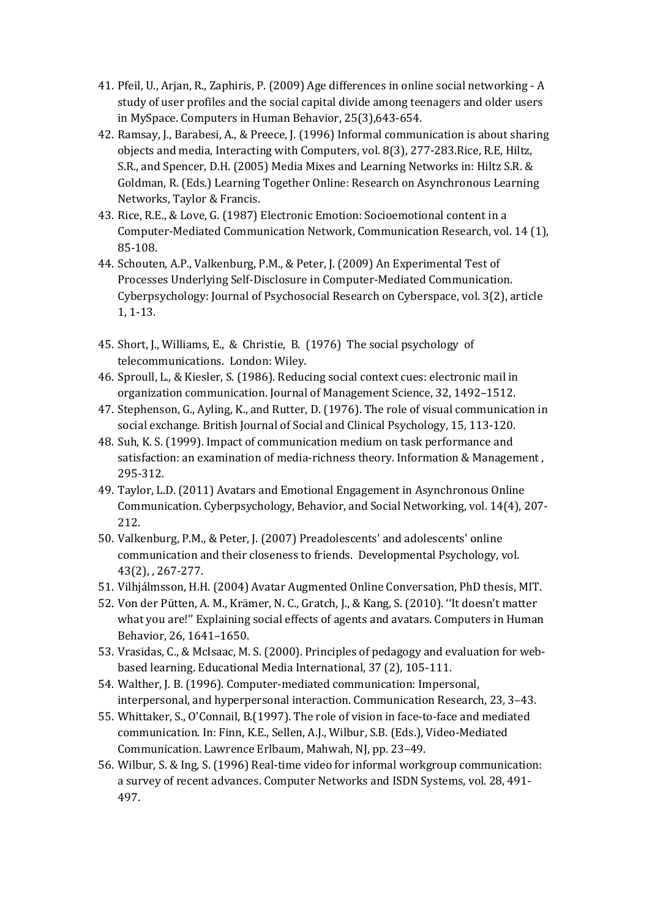- 41. Pfeil, U., Arjan, R., Zaphiris, P. (2009) Age differences in online social networking A study of user profiles and the social capital divide among teenagers and older users in MySpace. Computers in Human Behavior, 25(3),643-654.
- 42. Ramsay, J., Barabesi, A., & Preece, J. (1996) Informal communication is about sharing objects and media, Interacting with Computers, vol. 8(3), 277-283.Rice, R.E, Hiltz, S.R., and Spencer, D.H. (2005) Media Mixes and Learning Networks in: Hiltz S.R. & Goldman, R. (Eds.) Learning Together Online: Research on Asynchronous Learning Networks, Taylor & Francis.
- 43. Rice, R.E., & Love, G. (1987) Electronic Emotion: Socioemotional content in a Computer-Mediated Communication Network, Communication Research, vol. 14 (1), 85-108.
- 44. Schouten, A.P., Valkenburg, P.M., & Peter, J. (2009) An Experimental Test of Processes Underlying Self-Disclosure in Computer-Mediated Communication. Cyberpsychology: Journal of Psychosocial Research on Cyberspace, vol. 3(2), article 1, 1-13.
- 45. Short, J., Williams, E., & Christie, B. (1976) The social psychology of telecommunications. London: Wiley.
- 46. Sproull, L., & Kiesler, S. (1986). Reducing social context cues: electronic mail in organization communication. Journal of Management Science, 32, 1492-1512.
- 47. Stephenson, G., Ayling, K., and Rutter, D. (1976). The role of visual communication in social exchange. British Journal of Social and Clinical Psychology, 15, 113-120.
- 48. Suh, K. S. (1999). Impact of communication medium on task performance and satisfaction: an examination of media-richness theory. Information & Management , 295-312.
- 49. Taylor, L.D. (2011) Avatars and Emotional Engagement in Asynchronous Online Communication. Cyberpsychology, Behavior, and Social Networking, vol. 14(4), 207- 212.
- 50. Valkenburg, P.M., & Peter, J. (2007) Preadolescents' and adolescents' online communication and their closeness to friends. Developmental Psychology, vol. 43(2), , 267-277.
- 51. Vilhjálmsson, H.H. (2004) Avatar Augmented Online Conversation, PhD thesis, MIT.
- 52. Von der Pütten, A. M., Krämer, N. C., Gratch, J., & Kang, S. (2010). "It doesn't matter what you are!" Explaining social effects of agents and avatars. Computers in Human Behavior, 26, 1641-1650.
- 53. Vrasidas, C., & McIsaac, M. S. (2000). Principles of pedagogy and evaluation for webbased learning. Educational Media International, 37 (2), 105-111.
- 54. Walther, J. B. (1996). Computer-mediated communication: Impersonal, interpersonal, and hyperpersonal interaction. Communication Research, 23, 3-43.
- 55. Whittaker, S., OíConnail, B.(1997). The role of vision in face-to-face and mediated communication. In: Finn, K.E., Sellen, A.J., Wilbur, S.B. (Eds.), Video-Mediated Communication. Lawrence Erlbaum, Mahwah, NJ, pp. 23-49.
- 56. Wilbur, S. & Ing, S. (1996) Real-time video for informal workgroup communication: a survey of recent advances. Computer Networks and ISDN Systems, vol. 28, 491- 497.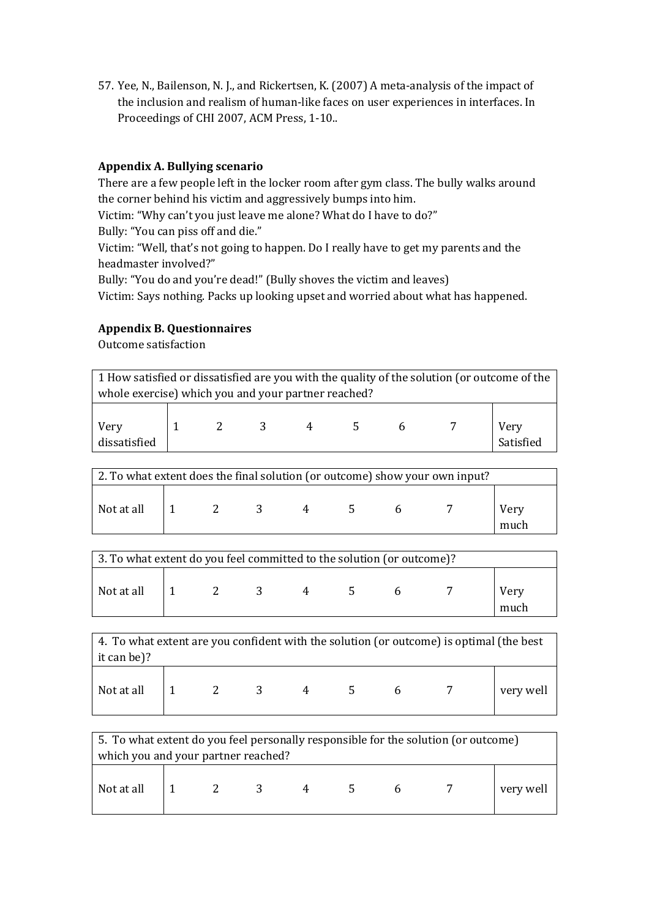57. Yee, N., Bailenson, N. J., and Rickertsen, K. (2007) A meta-analysis of the impact of the inclusion and realism of human-like faces on user experiences in interfaces. In Proceedings of CHI 2007, ACM Press, 1-10..

#### **Appendix A. Bullying scenario**

There are a few people left in the locker room after gym class. The bully walks around the corner behind his victim and aggressively bumps into him.

Victim: "Why can't you just leave me alone? What do I have to do?"

Bully: "You can piss off and die."

Victim: "Well, that's not going to happen. Do I really have to get my parents and the headmaster involved?"

Bully: "You do and you're dead!" (Bully shoves the victim and leaves)

Victim: Says nothing. Packs up looking upset and worried about what has happened.

#### **Appendix B. Questionnaires**

Outcome satisfaction

| 1 How satisfied or dissatisfied are you with the quality of the solution (or outcome of the |  |   |  |   |           |     |  |           |
|---------------------------------------------------------------------------------------------|--|---|--|---|-----------|-----|--|-----------|
| whole exercise) which you and your partner reached?                                         |  |   |  |   |           |     |  |           |
| Very                                                                                        |  | 2 |  | 4 | $-5$ $-7$ | 6 7 |  | Very      |
| dissatisfied                                                                                |  |   |  |   |           |     |  | Satisfied |

| 2. To what extent does the final solution (or outcome) show your own input? |  |  |  |   |  |  |  |              |
|-----------------------------------------------------------------------------|--|--|--|---|--|--|--|--------------|
| Not at all                                                                  |  |  |  | 4 |  |  |  | Very<br>much |

| 3. To what extent do you feel committed to the solution (or outcome)? |  |  |  |  |  |  |  |              |
|-----------------------------------------------------------------------|--|--|--|--|--|--|--|--------------|
| Not at all                                                            |  |  |  |  |  |  |  | Very<br>much |

| 4. To what extent are you confident with the solution (or outcome) is optimal (the best |  |   |               |   |               |              |  |           |
|-----------------------------------------------------------------------------------------|--|---|---------------|---|---------------|--------------|--|-----------|
| it can be)?                                                                             |  |   |               |   |               |              |  |           |
|                                                                                         |  |   |               |   |               |              |  |           |
| Not at all                                                                              |  | 2 | $\mathcal{R}$ | 4 | $\mathcal{P}$ | $\mathbf{b}$ |  | very well |
|                                                                                         |  |   |               |   |               |              |  |           |

| 5. To what extent do you feel personally responsible for the solution (or outcome) |  |                |              |   |  |  |  |           |  |
|------------------------------------------------------------------------------------|--|----------------|--------------|---|--|--|--|-----------|--|
| which you and your partner reached?                                                |  |                |              |   |  |  |  |           |  |
| Not at all                                                                         |  | $\overline{2}$ | $\mathbf{R}$ | 4 |  |  |  | very well |  |